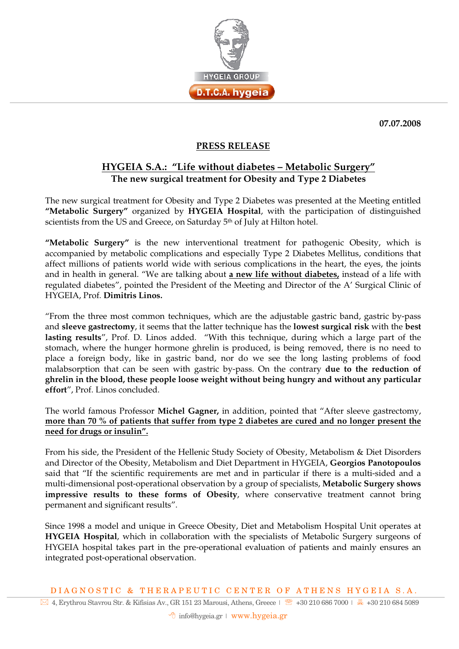

**07.07.2008** 

## **PRESS RELEASE**

## **HYGEIA S.A.: "Life without diabetes – Metabolic Surgery" The new surgical treatment for Obesity and Type 2 Diabetes**

The new surgical treatment for Obesity and Type 2 Diabetes was presented at the Meeting entitled **"Metabolic Surgery"** organized by **HYGEIA Hospital**, with the participation of distinguished scientists from the US and Greece, on Saturday 5<sup>th</sup> of July at Hilton hotel.

**"Metabolic Surgery"** is the new interventional treatment for pathogenic Obesity, which is accompanied by metabolic complications and especially Type 2 Diabetes Mellitus, conditions that affect millions of patients world wide with serious complications in the heart, the eyes, the joints and in health in general. "We are talking about **a new life without diabetes,** instead of a life with regulated diabetes", pointed the President of the Meeting and Director of the A' Surgical Clinic of HYGEIA, Prof. **Dimitris Linos.** 

"From the three most common techniques, which are the adjustable gastric band, gastric by-pass and **sleeve gastrectomy**, it seems that the latter technique has the **lowest surgical risk** with the **best lasting results**", Prof. D. Linos added. "With this technique, during which a large part of the stomach, where the hunger hormone ghrelin is produced, is being removed, there is no need to place a foreign body, like in gastric band, nor do we see the long lasting problems of food malabsorption that can be seen with gastric by-pass. On the contrary **due to the reduction of ghrelin in the blood, these people loose weight without being hungry and without any particular effort**", Prof. Linos concluded.

The world famous Professor **Michel Gagner,** in addition, pointed that "After sleeve gastrectomy, **more than 70 % of patients that suffer from type 2 diabetes are cured and no longer present the need for drugs or insulin".**

From his side, the President of the Hellenic Study Society of Obesity, Metabolism & Diet Disorders and Director of the Obesity, Metabolism and Diet Department in HYGEIA, **Georgios Panotopoulos** said that "If the scientific requirements are met and in particular if there is a multi-sided and a multi-dimensional post-operational observation by a group of specialists, **Metabolic Surgery shows impressive results to these forms of Obesity**, where conservative treatment cannot bring permanent and significant results".

Since 1998 a model and unique in Greece Obesity, Diet and Metabolism Hospital Unit operates at **HYGEIA Hospital**, which in collaboration with the specialists of Metabolic Surgery surgeons of HYGEIA hospital takes part in the pre-operational evaluation of patients and mainly ensures an integrated post-operational observation.